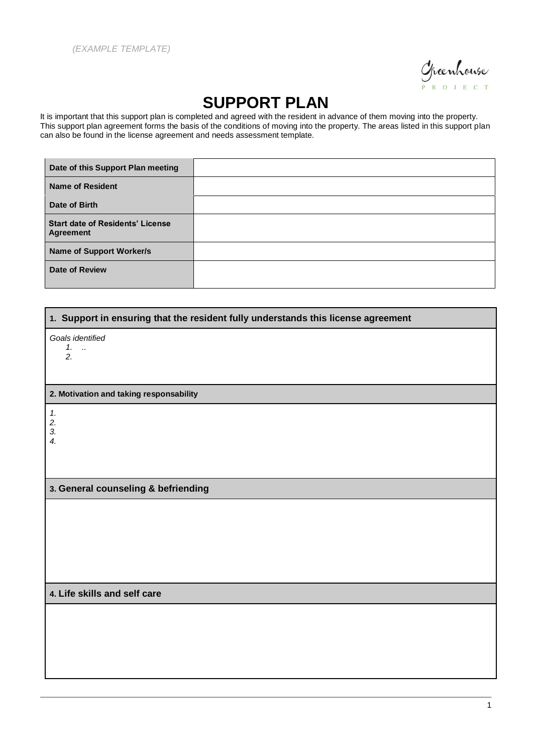

## **SUPPORT PLAN**

It is important that this support plan is completed and agreed with the resident in advance of them moving into the property. This support plan agreement forms the basis of the conditions of moving into the property. The areas listed in this support plan can also be found in the license agreement and needs assessment template.

| Date of this Support Plan meeting                           |  |
|-------------------------------------------------------------|--|
| <b>Name of Resident</b>                                     |  |
| Date of Birth                                               |  |
| <b>Start date of Residents' License</b><br><b>Agreement</b> |  |
| <b>Name of Support Worker/s</b>                             |  |
| <b>Date of Review</b>                                       |  |

| 1. Support in ensuring that the resident fully understands this license agreement |  |
|-----------------------------------------------------------------------------------|--|
| Goals identified                                                                  |  |
| $1.$<br>2.                                                                        |  |
|                                                                                   |  |
| 2. Motivation and taking responsability                                           |  |
| $\boldsymbol{\mathcal{1}}$ .                                                      |  |
| 2.<br>3.                                                                          |  |
| $\boldsymbol{4}$ .                                                                |  |
|                                                                                   |  |
| 3. General counseling & befriending                                               |  |
|                                                                                   |  |
|                                                                                   |  |
|                                                                                   |  |
|                                                                                   |  |
|                                                                                   |  |
| 4. Life skills and self care                                                      |  |
|                                                                                   |  |
|                                                                                   |  |
|                                                                                   |  |
|                                                                                   |  |
|                                                                                   |  |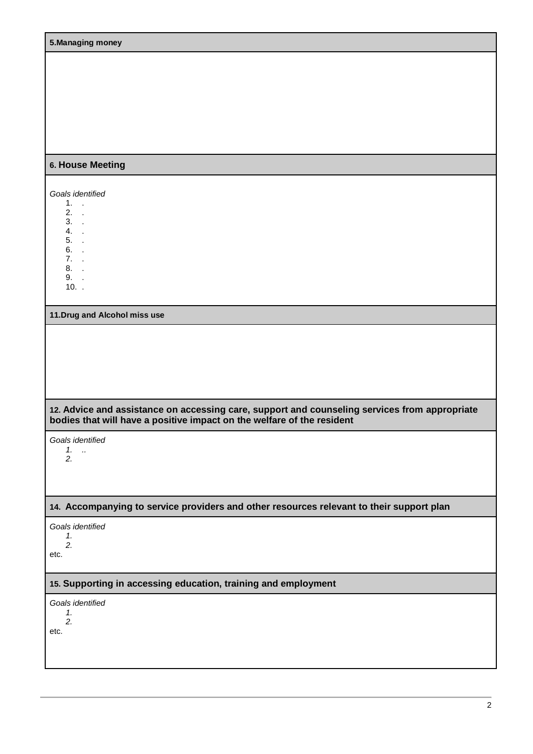| 5. Managing money                                                                                                                                                       |
|-------------------------------------------------------------------------------------------------------------------------------------------------------------------------|
|                                                                                                                                                                         |
|                                                                                                                                                                         |
|                                                                                                                                                                         |
|                                                                                                                                                                         |
|                                                                                                                                                                         |
|                                                                                                                                                                         |
| 6. House Meeting                                                                                                                                                        |
|                                                                                                                                                                         |
| Goals identified<br>$1.$ .                                                                                                                                              |
| $2.$ .<br>$3.$ .                                                                                                                                                        |
| $4. \quad .$<br>$5.$ .                                                                                                                                                  |
| 6. .                                                                                                                                                                    |
| $7.$ .<br>8. .                                                                                                                                                          |
| 9. .<br>$10.$ .                                                                                                                                                         |
|                                                                                                                                                                         |
| 11. Drug and Alcohol miss use                                                                                                                                           |
|                                                                                                                                                                         |
|                                                                                                                                                                         |
|                                                                                                                                                                         |
|                                                                                                                                                                         |
|                                                                                                                                                                         |
| 12. Advice and assistance on accessing care, support and counseling services from appropriate<br>bodies that will have a positive impact on the welfare of the resident |
| Goals identified                                                                                                                                                        |
| $1.$<br>2.                                                                                                                                                              |
|                                                                                                                                                                         |
|                                                                                                                                                                         |
| 14. Accompanying to service providers and other resources relevant to their support plan                                                                                |
| Goals identified                                                                                                                                                        |
| 1.<br>2.                                                                                                                                                                |
| etc.                                                                                                                                                                    |
| 15. Supporting in accessing education, training and employment                                                                                                          |
| Goals identified                                                                                                                                                        |
| 1.<br>2.                                                                                                                                                                |
| etc.                                                                                                                                                                    |
|                                                                                                                                                                         |
|                                                                                                                                                                         |